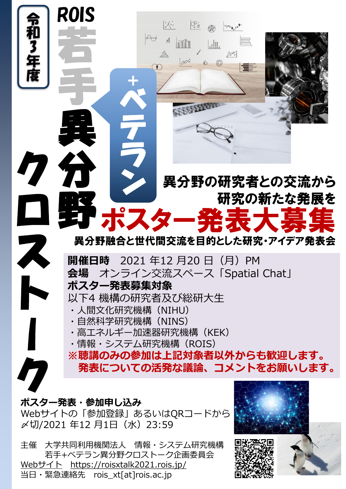

Webサイトの「参加登録」あるいはQRコードから 〆切/2021 年12 月1日(水)23:59

主催 大学共同利用機関法人 情報・システム研究機構 若手+ベテラン異分野クロストーク企画委員会 Web[サイト](http://www.xxxxxxxxx.jp/) <https://roisxtalk2021.rois.jp/> 当日・緊急連絡先 rois\_xt[at]rois.ac.jp

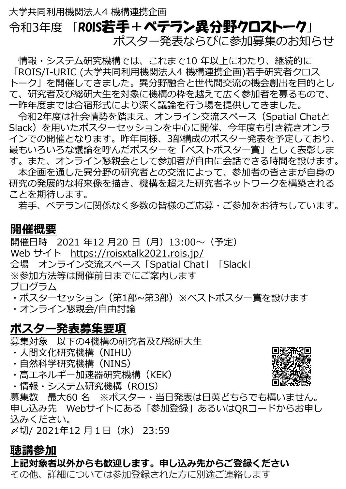# 大学共同利用機関法人4 機構連携企画 令和3年度 「ROIS若手+ベテラン異分野クロストーク」 ポスター発表ならびに参加募集のお知らせ

情報・システム研究機構では、これまで10 年以上にわたり、継続的に 「ROIS/I-URIC (大学共同利用機関法人4 機構連携企画)若手研究者クロス トーク」を開催してきました。異分野融合と世代間交流の機会創出を目的とし て、研究者及び総研大生を対象に機構の枠を越えて広く参加者を募るもので、 一昨年度までは合宿形式により深く議論を行う場を提供してきました。

令和2年度は社会情勢を踏まえ、オンライン交流スペース(Spatial Chatと Slack)を用いたポスターセッションを中心に開催、今年度も引き続きオンラ インでの開催となります。昨年同様、3部構成のポスター発表を予定しており、 最もいろいろな議論を呼んだポスターを「ベストポスター賞」として表彰しま す。また、オンライン懇親会として参加者が自由に会話できる時間を設けます。 本企画を通した異分野の研究者との交流によって、参加者の皆さまが自身の 研究の発展的な将来像を描き、機構を超えた研究者ネットワークを構築される

ことを期待します。

若手、ベテランに関係なく多数の皆様のご応募・ご参加をお待ちしています。

## **開催概要**

開催日時 2021 年12 月20 日 (月) 13:00~ (予定) Web サイト <https://roisxtalk2021.rois.jp/> 会場 オンライン交流スペース「Spatial Chat」「Slack」 ※参加方法等は開催前日までにご案内します プログラム

・ポスターセッション(第1部~第3部)※ベストポスター賞を設けます ・オンライン懇親会/自由討論

# **ポスター発表募集要項**

募集対象 以下の4機構の研究者及び総研大生

- ・人間文化研究機構(NIHU)
- ・自然科学研究機構(NINS)
- ・高エネルギー加速器研究機構(KEK)
- ・情報・システム研究機構 (ROIS)

募集数 最大60 名 ※ポスター・当日発表は日英どちらでも構いません。 申し込み先 Webサイトにある「参加登録」あるいはQRコードからお申し 込みください。

〆切/ 2021年12 月1日(水) 23:59

## **聴講参加**

**上記対象者以外からも歓迎します。申し込み先からご登録ください** その他、詳細については参加登録された方に別途ご連絡します